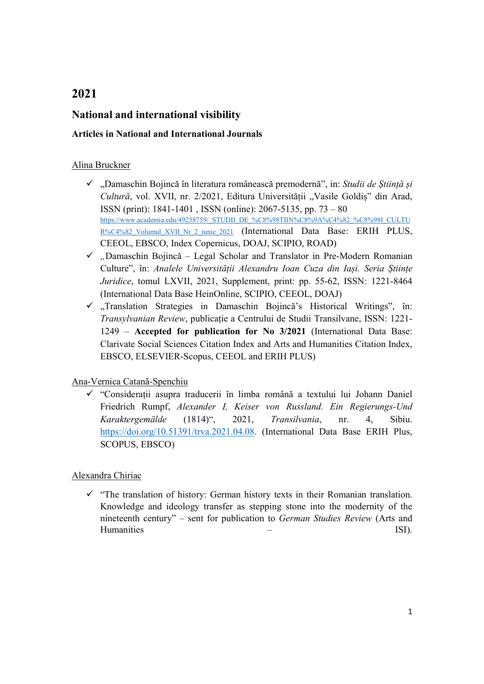# 2021

## National and international visibility

#### Articles in National and International Journals

#### Alina Bruckner

- $\checkmark$  . Damaschin Bojincă în literatura românească premodernă", in: Studii de Stiință și Cultură, vol. XVII, nr. 2/2021, Editura Universității "Vasile Goldiș" din Arad, ISSN (print): 1841-1401 , ISSN (online): 2067-5135, pp. 73 – 80 https://www.academia.edu/49258759/\_STUDII\_DE\_%C8%98TIIN%C8%9A%C4%82\_%C8%98I\_CULTU R%C4%82 Volumul XVII Nr 2 iunie 2021 (International Data Base: ERIH PLUS, CEEOL, EBSCO, Index Copernicus, DOAJ, SCIPIO, ROAD)
- $\checkmark$  "Damaschin Bojincă Legal Scholar and Translator in Pre-Modern Romanian Culture", în: Analele Universității Alexandru Ioan Cuza din Iași. Seria Științe Juridice, tomul LXVII, 2021, Supplement, print: pp. 55-62, ISSN: 1221-8464 (International Data Base HeinOnline, SCIPIO, CEEOL, DOAJ)
- $\checkmark$  , Translation Strategies in Damaschin Bojincă's Historical Writings", în: Transylvanian Review, publicație a Centrului de Studii Transilvane, ISSN: 1221- 1249 – Accepted for publication for No 3/2021 (International Data Base: Clarivate Social Sciences Citation Index and Arts and Humanities Citation Index, EBSCO, ELSEVIER-Scopus, CEEOL and ERIH PLUS)

#### Ana-Vernica Catanã-Spenchiu

 "Considerații asupra traducerii în limba română a textului lui Johann Daniel Friedrich Rumpf, Alexander I, Keiser von Russland. Ein Regierungs-Und Karaktergemälde (1814)", 2021, Transilvania, nr. 4, Sibiu. https://doi.org/10.51391/trva.2021.04.08. (International Data Base ERIH Plus, SCOPUS, EBSCO)

#### Alexandra Chiriac

 $\checkmark$  "The translation of history: German history texts in their Romanian translation. Knowledge and ideology transfer as stepping stone into the modernity of the nineteenth century" – sent for publication to German Studies Review (Arts and Humanities – ISI).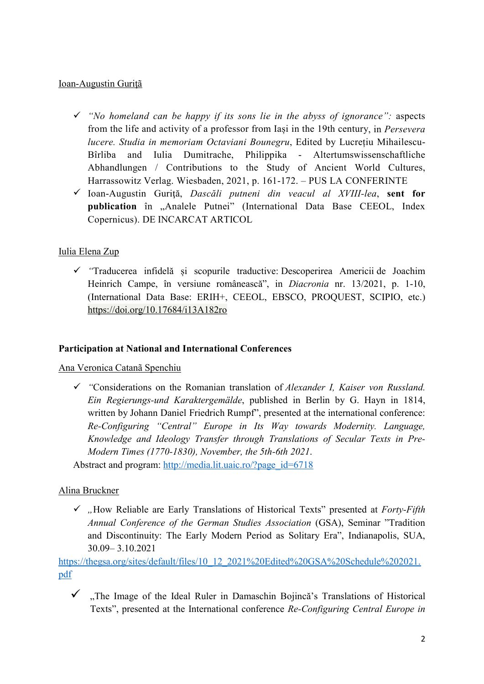#### Ioan-Augustin Guriţã

- $\checkmark$  "No homeland can be happy if its sons lie in the abyss of ignorance": aspects from the life and activity of a professor from Iași in the 19th century, in Persevera lucere. Studia in memoriam Octaviani Bounegru, Edited by Lucrețiu Mihailescu-Bîrliba and Iulia Dumitrache, Philippika - Altertumswissenschaftliche Abhandlungen / Contributions to the Study of Ancient World Cultures, Harrassowitz Verlag. Wiesbaden, 2021, p. 161-172. – PUS LA CONFERINTE
- $\checkmark$  Ioan-Augustin Gurită, Dascăli putneni din veacul al XVIII-lea, sent for publication în "Analele Putnei" (International Data Base CEEOL, Index Copernicus). DE INCARCAT ARTICOL

## Iulia Elena Zup

 "Traducerea infidelă și scopurile traductive: Descoperirea Americii de Joachim Heinrich Campe, în versiune românească", in Diacronia nr. 13/2021, p. 1-10, (International Data Base: ERIH+, CEEOL, EBSCO, PROQUEST, SCIPIO, etc.) https://doi.org/10.17684/i13A182ro

#### Participation at National and International Conferences

Ana Veronica Catanã Spenchiu

 $\checkmark$  "Considerations on the Romanian translation of Alexander I, Kaiser von Russland. Ein Regierungs-und Karaktergemälde, published in Berlin by G. Hayn in 1814, written by Johann Daniel Friedrich Rumpf", presented at the international conference: Re-Configuring "Central" Europe in Its Way towards Modernity. Language, Knowledge and Ideology Transfer through Translations of Secular Texts in Pre-Modern Times (1770-1830), November, the 5th-6th 2021.

Abstract and program: http://media.lit.uaic.ro/?page\_id=6718

#### Alina Bruckner

 $\checkmark$  "How Reliable are Early Translations of Historical Texts" presented at Forty-Fifth Annual Conference of the German Studies Association (GSA), Seminar "Tradition and Discontinuity: The Early Modern Period as Solitary Era", Indianapolis, SUA, 30.09– 3.10.2021

https://thegsa.org/sites/default/files/10\_12\_2021%20Edited%20GSA%20Schedule%202021. pdf

 $\checkmark$ , The Image of the Ideal Ruler in Damaschin Bojincă's Translations of Historical Texts", presented at the International conference Re-Configuring Central Europe in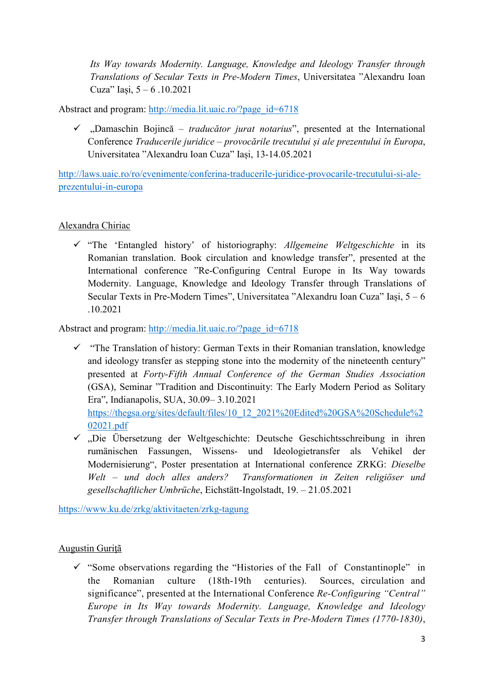Its Way towards Modernity. Language, Knowledge and Ideology Transfer through Translations of Secular Texts in Pre-Modern Times, Universitatea "Alexandru Ioan Cuza" Iași, 5 – 6 .10.2021

Abstract and program: http://media.lit.uaic.ro/?page\_id=6718

 $\checkmark$ , Damaschin Bojincă – *traducător jurat notarius*", presented at the International Conference Traducerile juridice – provocările trecutului și ale prezentului în Europa, Universitatea "Alexandru Ioan Cuza" Iași, 13-14.05.2021

http://laws.uaic.ro/ro/evenimente/conferina-traducerile-juridice-provocarile-trecutului-si-aleprezentului-in-europa

### Alexandra Chiriac

 $\checkmark$  "The 'Entangled history' of historiography: Allgemeine Weltgeschichte in its Romanian translation. Book circulation and knowledge transfer", presented at the International conference "Re-Configuring Central Europe in Its Way towards Modernity. Language, Knowledge and Ideology Transfer through Translations of Secular Texts in Pre-Modern Times", Universitatea "Alexandru Ioan Cuza" Iași, 5 – 6 .10.2021

Abstract and program: http://media.lit.uaic.ro/?page\_id=6718

- $\checkmark$  "The Translation of history: German Texts in their Romanian translation, knowledge and ideology transfer as stepping stone into the modernity of the nineteenth century" presented at Forty-Fifth Annual Conference of the German Studies Association (GSA), Seminar "Tradition and Discontinuity: The Early Modern Period as Solitary Era", Indianapolis, SUA, 30.09– 3.10.2021 https://thegsa.org/sites/default/files/10\_12\_2021%20Edited%20GSA%20Schedule%2 02021.pdf
- $\checkmark$ , Die Übersetzung der Weltgeschichte: Deutsche Geschichtsschreibung in ihren rumänischen Fassungen, Wissens- und Ideologietransfer als Vehikel der Modernisierung", Poster presentation at International conference ZRKG: Dieselbe Welt – und doch alles anders? Transformationen in Zeiten religiöser und gesellschaftlicher Umbrüche, Eichstätt-Ingolstadt, 19. – 21.05.2021

https://www.ku.de/zrkg/aktivitaeten/zrkg-tagung

## Augustin Guriţã

 $\checkmark$  "Some observations regarding the "Histories of the Fall of Constantinople" in the Romanian culture (18th-19th centuries). Sources, circulation and significance", presented at the International Conference Re-Configuring "Central" Europe in Its Way towards Modernity. Language, Knowledge and Ideology Transfer through Translations of Secular Texts in Pre-Modern Times (1770-1830),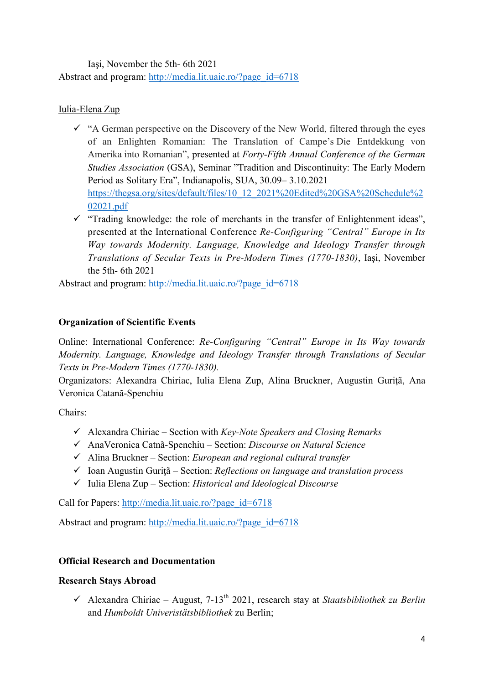Iaşi, November the 5th- 6th 2021 Abstract and program: http://media.lit.uaic.ro/?page\_id=6718

## Iulia-Elena Zup

- $\checkmark$  "A German perspective on the Discovery of the New World, filtered through the eyes of an Enlighten Romanian: The Translation of Campe's Die Entdekkung von Amerika into Romanian", presented at Forty-Fifth Annual Conference of the German Studies Association (GSA), Seminar "Tradition and Discontinuity: The Early Modern Period as Solitary Era", Indianapolis, SUA, 30.09– 3.10.2021 https://thegsa.org/sites/default/files/10\_12\_2021%20Edited%20GSA%20Schedule%2 02021.pdf
- $\checkmark$  "Trading knowledge: the role of merchants in the transfer of Enlightenment ideas", presented at the International Conference Re-Configuring "Central" Europe in Its Way towards Modernity. Language, Knowledge and Ideology Transfer through Translations of Secular Texts in Pre-Modern Times (1770-1830), Iaşi, November the 5th- 6th 2021

Abstract and program: http://media.lit.uaic.ro/?page\_id=6718

## Organization of Scientific Events

Online: International Conference: Re-Configuring "Central" Europe in Its Way towards Modernity. Language, Knowledge and Ideology Transfer through Translations of Secular Texts in Pre-Modern Times (1770-1830).

Organizators: Alexandra Chiriac, Iulia Elena Zup, Alina Bruckner, Augustin Guriţã, Ana Veronica Catanã-Spenchiu

Chairs:

- $\checkmark$  Alexandra Chiriac Section with Key-Note Speakers and Closing Remarks
- AnaVeronica Catnã-Spenchiu Section: Discourse on Natural Science
- $\checkmark$  Alina Bruckner Section: *European and regional cultural transfer*
- $\checkmark$  Ioan Augustin Gurițã Section: Reflections on language and translation process
- $\checkmark$  Iulia Elena Zup Section: Historical and Ideological Discourse

Call for Papers: http://media.lit.uaic.ro/?page\_id=6718

Abstract and program: http://media.lit.uaic.ro/?page\_id=6718

## Official Research and Documentation

#### Research Stays Abroad

 $\checkmark$  Alexandra Chiriac – August, 7-13<sup>th</sup> 2021, research stay at Staatsbibliothek zu Berlin and Humboldt Univeristätsbibliothek zu Berlin;